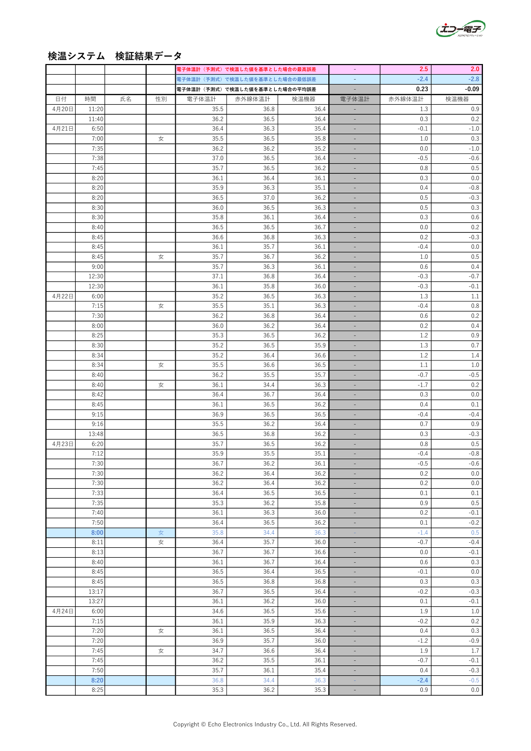

## 検温システム 検証結果データ

|       |       |    |    |       | 電子体温計(予測式)で検温した値を基準とした場合の最高誤差 |      |                             | 2.5     | 2.0     |
|-------|-------|----|----|-------|-------------------------------|------|-----------------------------|---------|---------|
|       |       |    |    |       | 電子体温計(予測式)で検温した値を基準とした場合の最低誤差 |      | $\omega_{\rm c}$            | $-2.4$  | $-2.8$  |
|       |       |    |    |       | 電子体温計(予測式)で検温した値を基準とした場合の平均誤差 |      | $\overline{\phantom{a}}$    | 0.23    | $-0.09$ |
| 日付    | 時間    | 氏名 | 性別 | 電子体温計 | 赤外線体温計                        | 検温機器 | 電子体温計                       | 赤外線体温計  | 検温機器    |
| 4月20日 | 11:20 |    |    | 35.5  | 36.8                          | 36.4 | $\overline{\phantom{a}}$    | 1.3     | 0.9     |
|       | 11:40 |    |    | 36.2  | 36.5                          | 36.4 | ÷,                          | 0.3     | 0.2     |
| 4月21日 | 6:50  |    |    | 36.4  | 36.3                          | 35.4 |                             | $-0.1$  | $-1.0$  |
|       | 7:00  |    | 女  | 35.5  | 36.5                          | 35.8 | $\blacksquare$              | 1.0     | 0.3     |
|       | 7:35  |    |    | 36.2  | 36.2                          | 35.2 |                             | 0.0     |         |
|       |       |    |    |       |                               |      | ÷,                          |         | $-1.0$  |
|       | 7:38  |    |    | 37.0  | 36.5                          | 36.4 | ÷                           | $-0.5$  | $-0.6$  |
|       | 7:45  |    |    | 35.7  | 36.5                          | 36.2 | $\blacksquare$              | 0.8     | 0.5     |
|       | 8:20  |    |    | 36.1  | 36.4                          | 36.1 | $\overline{\phantom{a}}$    | 0.3     | 0.0     |
|       | 8:20  |    |    | 35.9  | 36.3                          | 35.1 | ÷,                          | 0.4     | $-0.8$  |
|       | 8:20  |    |    | 36.5  | 37.0                          | 36.2 | ÷,                          | 0.5     | $-0.3$  |
|       | 8:30  |    |    | 36.0  | 36.5                          | 36.3 | ÷.                          | 0.5     | 0.3     |
|       | 8:30  |    |    | 35.8  | 36.1                          | 36.4 | ÷                           | 0.3     | 0.6     |
|       | 8:40  |    |    | 36.5  | 36.5                          | 36.7 | $\overline{\phantom{a}}$    | 0.0     | 0.2     |
|       | 8:45  |    |    | 36.6  | 36.8                          | 36.3 | ÷,                          | 0.2     | $-0.3$  |
|       | 8:45  |    |    | 36.1  | 35.7                          | 36.1 | ÷,                          | $-0.4$  | 0.0     |
|       | 8:45  |    | 女  | 35.7  | 36.7                          | 36.2 | $\overline{\phantom{m}}$    | 1.0     | 0.5     |
|       | 9:00  |    |    | 35.7  | 36.3                          | 36.1 | ÷.                          | 0.6     | 0.4     |
|       | 12:30 |    |    | 37.1  | 36.8                          | 36.4 | $\sim$                      | $-0.3$  | $-0.7$  |
|       | 12:30 |    |    | 36.1  | 35.8                          | 36.0 | $\overline{\phantom{a}}$    | $-0.3$  | $-0.1$  |
| 4月22日 | 6:00  |    |    | 35.2  | 36.5                          | 36.3 | ÷,                          | 1.3     | 1.1     |
|       | 7:15  |    |    | 35.5  | 35.1                          | 36.3 | ÷                           | $-0.4$  | $0.8\,$ |
|       |       |    | 女  |       |                               |      |                             |         |         |
|       | 7:30  |    |    | 36.2  | 36.8                          | 36.4 | ÷,                          | 0.6     | 0.2     |
|       | 8:00  |    |    | 36.0  | 36.2                          | 36.4 | ÷.                          | 0.2     | 0.4     |
|       | 8:25  |    |    | 35.3  | 36.5                          | 36.2 | ÷,                          | 1.2     | 0.9     |
|       | 8:30  |    |    | 35.2  | 36.5                          | 35.9 | ٠                           | 1.3     | 0.7     |
|       | 8:34  |    |    | 35.2  | 36.4                          | 36.6 | $\overline{\phantom{a}}$    | 1.2     | 1.4     |
|       | 8:34  |    | 女  | 35.5  | 36.6                          | 36.5 | $\overline{\phantom{a}}$    | 1.1     | 1.0     |
|       | 8:40  |    |    | 36.2  | 35.5                          | 35.7 |                             | $-0.7$  | $-0.5$  |
|       | 8:40  |    | 女  | 36.1  | 34.4                          | 36.3 | L,                          | $-1.7$  | 0.2     |
|       | 8:42  |    |    | 36.4  | 36.7                          | 36.4 | ÷                           | 0.3     | 0.0     |
|       | 8:45  |    |    | 36.1  | 36.5                          | 36.2 | ÷                           | 0.4     | 0.1     |
|       | 9:15  |    |    | 36.9  | 36.5                          | 36.5 | $\overline{\phantom{a}}$    | $-0.4$  | $-0.4$  |
|       | 9:16  |    |    | 35.5  | 36.2                          | 36.4 | $\blacksquare$              | 0.7     | 0.9     |
|       | 13:48 |    |    | 36.5  | 36.8                          | 36.2 | ÷,                          | 0.3     | $-0.3$  |
| 4月23日 | 6:20  |    |    | 35.7  | 36.5                          | 36.2 | $\equiv$                    | 0.8     | 0.5     |
|       | 7:12  |    |    | 35.9  | 35.5                          | 35.1 | ÷,                          | $-0.4$  | $-0.8$  |
|       | 7:30  |    |    | 36.7  | 36.2                          | 36.1 |                             | $-0.5$  | $-0.6$  |
|       | 7:30  |    |    | 36.2  | 36.4                          | 36.2 |                             | 0.2     | $0.0\,$ |
|       |       |    |    |       | 36.4                          |      | ÷                           |         |         |
|       | 7:30  |    |    | 36.2  |                               | 36.2 | L,                          | $0.2\,$ | $0.0\,$ |
|       | 7:33  |    |    | 36.4  | 36.5                          | 36.5 | ÷                           | $0.1\,$ | $0.1\,$ |
|       | 7:35  |    |    | 35.3  | 36.2                          | 35.8 | ÷                           | 0.9     | $0.5\,$ |
|       | 7:40  |    |    | 36.1  | 36.3                          | 36.0 | ÷,                          | 0.2     | $-0.1$  |
|       | 7:50  |    |    | 36.4  | 36.5                          | 36.2 | ÷                           | $0.1\,$ | $-0.2$  |
|       | 8:00  |    | 女  | 35.8  | 34.4                          | 36.3 | ÷                           | $-1.4$  | 0.5     |
|       | 8:11  |    | 女  | 36.4  | 35.7                          | 36.0 | $\Box$                      | $-0.7$  | $-0.4$  |
|       | 8:13  |    |    | 36.7  | 36.7                          | 36.6 | ÷                           | $0.0\,$ | $-0.1$  |
|       | 8:40  |    |    | 36.1  | 36.7                          | 36.4 | ÷,                          | 0.6     | 0.3     |
|       | 8:45  |    |    | 36.5  | 36.4                          | 36.5 | ÷                           | $-0.1$  | $0.0\,$ |
|       | 8:45  |    |    | 36.5  | 36.8                          | 36.8 | $\mathcal{L}_{\mathcal{A}}$ | 0.3     | $0.3\,$ |
|       | 13:17 |    |    | 36.7  | 36.5                          | 36.4 | ۰                           | $-0.2$  | $-0.3$  |
|       | 13:27 |    |    | 36.1  | 36.2                          | 36.0 | ÷                           | $0.1\,$ | $-0.1$  |
| 4月24日 | 6:00  |    |    | 34.6  | 36.5                          | 35.6 | ÷                           | 1.9     | $1.0\,$ |
|       | 7:15  |    |    | 36.1  | 35.9                          | 36.3 | ÷                           | $-0.2$  | 0.2     |
|       | 7:20  |    | 女  | 36.1  | 36.5                          | 36.4 | ÷.                          | 0.4     | $0.3\,$ |
|       | 7:20  |    |    | 36.9  | 35.7                          | 36.0 | ÷.                          | $-1.2$  | $-0.9$  |
|       | 7:45  |    |    | 34.7  | 36.6                          | 36.4 |                             | 1.9     | $1.7\,$ |
|       | 7:45  |    | 女  | 36.2  | 35.5                          | 36.1 | ÷                           | $-0.7$  | $-0.1$  |
|       |       |    |    |       |                               |      | ÷                           |         |         |
|       | 7:50  |    |    | 35.7  | 36.1                          | 35.4 | ÷.                          | 0.4     | $-0.3$  |
|       | 8:20  |    |    | 36.8  | 34.4                          | 36.3 | ÷                           | $-2.4$  | $-0.5$  |
|       | 8:25  |    |    | 35.3  | 36.2                          | 35.3 | ÷.                          | 0.9     | 0.0     |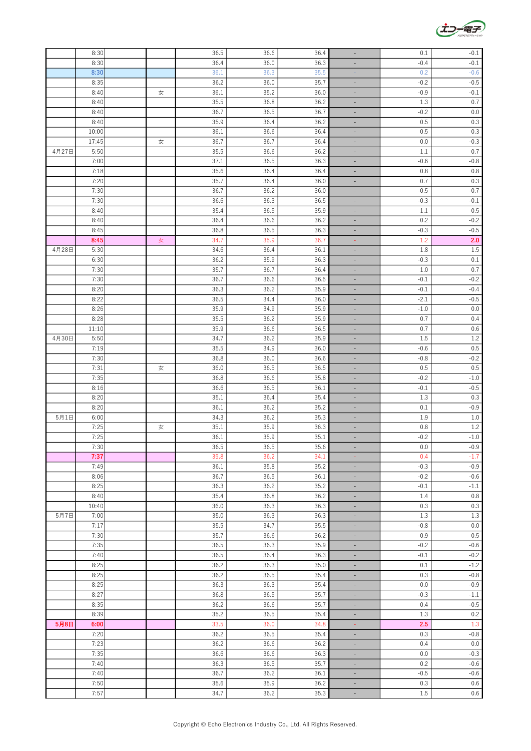|       | 8:30         |   | 36.5 | 36.6 | 36.4 | $\qquad \qquad \blacksquare$ | 0.1     | $-0.1$        |
|-------|--------------|---|------|------|------|------------------------------|---------|---------------|
|       | 8:30         |   | 36.4 | 36.0 | 36.3 |                              | $-0.4$  | $-0.1$        |
|       | 8:30         |   | 36.1 | 36.3 | 35.5 |                              | 0.2     | $-0.6$        |
|       | 8:35         |   | 36.2 | 36.0 | 35.7 | ٠                            | $-0.2$  | $-0.5$        |
|       | 8:40         | 女 | 36.1 | 35.2 | 36.0 |                              | $-0.9$  | $-0.1$        |
|       | 8:40         |   | 35.5 | 36.8 | 36.2 | ÷,                           | $1.3\,$ | $0.7\,$       |
|       | 8:40         |   | 36.7 | 36.5 | 36.7 | $\overline{\phantom{a}}$     | $-0.2$  | $0.0\,$       |
|       | 8:40         |   | 35.9 | 36.4 | 36.2 | $\overline{\phantom{a}}$     | 0.5     | $0.3\,$       |
|       | 10:00        |   | 36.1 | 36.6 | 36.4 | $\overline{\phantom{a}}$     | 0.5     | 0.3           |
|       | 17:45        | 女 | 36.7 | 36.7 | 36.4 | ÷                            | $0.0\,$ | $-0.3$        |
| 4月27日 | 5:50         |   | 35.5 | 36.6 | 36.2 | ٠                            | 1.1     | 0.7           |
|       | 7:00         |   | 37.1 | 36.5 | 36.3 | ٠                            | $-0.6$  | $-0.8$        |
|       | 7:18         |   | 35.6 | 36.4 | 36.4 | ÷,                           | 0.8     | 0.8           |
|       | 7:20         |   | 35.7 | 36.4 | 36.0 | $\overline{\phantom{a}}$     | 0.7     | $0.3\,$       |
|       | 7:30         |   | 36.7 | 36.2 | 36.0 | $\overline{\phantom{a}}$     | $-0.5$  | $-0.7$        |
|       | 7:30         |   | 36.6 | 36.3 | 36.5 | ÷                            | $-0.3$  | $-0.1$        |
|       | 8:40         |   | 35.4 | 36.5 | 35.9 |                              | 1.1     | 0.5           |
|       | 8:40         |   | 36.4 | 36.6 | 36.2 | ٠                            | 0.2     | $-0.2$        |
|       | 8:45         |   | 36.8 | 36.5 | 36.3 | L,                           | $-0.3$  | $-0.5$        |
|       | 8:45         | 女 | 34.7 | 35.9 | 36.7 | Ξ                            | 1.2     | 2.0           |
| 4月28日 | 5:30         |   | 34.6 | 36.4 | 36.1 | $\overline{\phantom{a}}$     | 1.8     | $1.5\,$       |
|       | 6:30         |   | 36.2 | 35.9 | 36.3 | ÷                            | $-0.3$  | $0.1\,$       |
|       | 7:30         |   | 35.7 | 36.7 | 36.4 | $\qquad \qquad \blacksquare$ | $1.0$   | 0.7           |
|       | 7:30         |   | 36.7 | 36.6 | 36.5 |                              | $-0.1$  | $-0.2$        |
|       | 8:20         |   | 36.3 | 36.2 | 35.9 | ÷                            | $-0.1$  | $-0.4$        |
|       | 8:22         |   | 36.5 | 34.4 | 36.0 | ÷                            | $-2.1$  | $-0.5$        |
|       | 8:26         |   | 35.9 | 34.9 | 35.9 | $\overline{\phantom{a}}$     | $-1.0$  | $0.0\,$       |
|       | 8:28         |   | 35.5 | 36.2 | 35.9 |                              | 0.7     | 0.4           |
|       | 11:10        |   | 35.9 | 36.6 | 36.5 | ÷                            | 0.7     |               |
|       |              |   |      |      |      | ÷                            |         | $0.6\,$       |
| 4月30日 | 5:50<br>7:19 |   | 34.7 | 36.2 | 35.9 | ٠                            | $1.5\,$ | $1.2\,$       |
|       |              |   | 35.5 | 34.9 | 36.0 | ÷,                           | $-0.6$  | $0.5\,$       |
|       | 7:30         |   | 36.8 | 36.0 | 36.6 | ÷,                           | $-0.8$  | $-0.2$        |
|       | 7:31         | 女 | 36.0 | 36.5 | 36.5 | $\overline{\phantom{a}}$     | 0.5     | $0.5\,$       |
|       | 7:35         |   | 36.8 | 36.6 | 35.8 | $\overline{\phantom{a}}$     | $-0.2$  | $-1.0$        |
|       | 8:16         |   | 36.6 | 36.5 | 36.1 | ÷                            | $-0.1$  | $-0.5$        |
|       | 8:20         |   | 35.1 | 36.4 | 35.4 | $\qquad \qquad \blacksquare$ | $1.3\,$ | 0.3           |
|       | 8:20         |   | 36.1 | 36.2 | 35.2 | $\qquad \qquad \blacksquare$ | 0.1     | $-0.9$        |
| 5月1日  | 6:00         |   | 34.3 | 36.2 | 35.3 | ÷,                           | 1.9     | $1.0\,$       |
|       | 7:25         | 女 | 35.1 | 35.9 | 36.3 | $\blacksquare$               | 0.8     | $1.2\,$       |
|       | 7:25         |   | 36.1 | 35.9 | 35.1 | $\overline{\phantom{a}}$     | $-0.2$  | $\mbox{-}1.0$ |
|       | 7:30         |   | 36.5 | 36.5 | 35.6 |                              | 0.0     | $-0.9$        |
|       | 7:37         |   | 35.8 | 36.2 | 34.1 |                              | 0.4     | $-1.7$        |
|       | 7:49         |   | 36.1 | 35.8 | 35.2 | $\overline{\phantom{a}}$     | $-0.3$  | $-0.9$        |
|       | 8:06         |   | 36.7 | 36.5 | 36.1 | ÷                            | $-0.2$  | $-0.6$        |
|       | 8:25         |   | 36.3 | 36.2 | 35.2 | ÷                            | $-0.1$  | $\text{-}1.1$ |
|       | 8:40         |   | 35.4 | 36.8 | 36.2 | ۰                            | 1.4     | $0.8\,$       |
|       | 10:40        |   | 36.0 | 36.3 | 36.3 | $\overline{\phantom{a}}$     | 0.3     | 0.3           |
| 5月7日  | 7:00         |   | 35.0 | 36.3 | 36.3 | ÷                            | $1.3\,$ | $1.3\,$       |
|       | 7:17         |   | 35.5 | 34.7 | 35.5 | $\blacksquare$               | $-0.8$  | $0.0\,$       |
|       | 7:30         |   | 35.7 | 36.6 | 36.2 | ÷.                           | $0.9\,$ | $0.5\,$       |
|       | 7:35         |   | 36.5 | 36.3 | 35.9 | $\omega$                     | $-0.2$  | $-0.6$        |
|       | 7:40         |   | 36.5 | 36.4 | 36.3 | $\equiv$                     | $-0.1$  | $-0.2$        |
|       | 8:25         |   | 36.2 | 36.3 | 35.0 | $\sim$                       | $0.1\,$ | $-1.2$        |
|       | 8:25         |   | 36.2 | 36.5 | 35.4 | $\bar{\phantom{a}}$          | 0.3     | $-0.8$        |
|       | 8:25         |   | 36.3 | 36.3 | 35.4 | ÷                            | 0.0     | $-0.9$        |
|       | 8:27         |   | 36.8 | 36.5 | 35.7 | ÷                            | $-0.3$  | $\text{-}1.1$ |
|       | 8:35         |   | 36.2 | 36.6 | 35.7 | ÷.                           | 0.4     | $-0.5$        |
|       | 8:39         |   | 35.2 | 36.5 | 35.4 | $\equiv$                     | 1.3     | 0.2           |
| 5月8日  | 6:00         |   | 33.5 | 36.0 | 34.8 | $\pm$                        | 2.5     | $1.3\,$       |
|       | 7:20         |   | 36.2 | 36.5 | 35.4 | ÷                            | 0.3     | $-0.8$        |
|       | 7:23         |   | 36.2 | 36.6 | 36.2 | ÷                            | 0.4     | $0.0\,$       |
|       | 7:35         |   | 36.6 | 36.6 | 36.3 | ÷                            | $0.0\,$ | $-0.3$        |
|       | 7:40         |   | 36.3 | 36.5 | 35.7 | ÷,                           | $0.2\,$ | $-0.6$        |
|       | 7:40         |   | 36.7 | 36.2 | 36.1 | $\mathcal{L}_{\mathcal{A}}$  | $-0.5$  | $-0.6$        |
|       | 7:50         |   | 35.6 | 35.9 | 36.2 | $\equiv$                     | 0.3     | $0.6\,$       |
|       | 7:57         |   | 34.7 | 36.2 | 35.3 | ÷,                           | $1.5\,$ | $0.6\,$       |